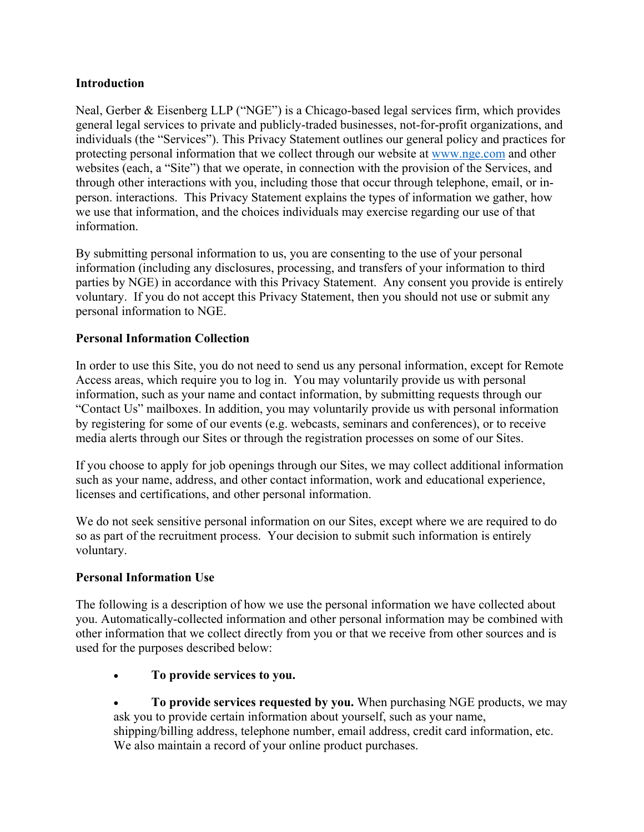### **Introduction**

Neal, Gerber & Eisenberg LLP ("NGE") is a Chicago-based legal services firm, which provides general legal services to private and publicly-traded businesses, not-for-profit organizations, and individuals (the "Services"). This Privacy Statement outlines our general policy and practices for protecting personal information that we collect through our website at www.nge.com and other websites (each, a "Site") that we operate, in connection with the provision of the Services, and through other interactions with you, including those that occur through telephone, email, or inperson. interactions. This Privacy Statement explains the types of information we gather, how we use that information, and the choices individuals may exercise regarding our use of that information.

By submitting personal information to us, you are consenting to the use of your personal information (including any disclosures, processing, and transfers of your information to third parties by NGE) in accordance with this Privacy Statement. Any consent you provide is entirely voluntary. If you do not accept this Privacy Statement, then you should not use or submit any personal information to NGE.

# **Personal Information Collection**

In order to use this Site, you do not need to send us any personal information, except for Remote Access areas, which require you to log in. You may voluntarily provide us with personal information, such as your name and contact information, by submitting requests through our "Contact Us" mailboxes. In addition, you may voluntarily provide us with personal information by registering for some of our events (e.g. webcasts, seminars and conferences), or to receive media alerts through our Sites or through the registration processes on some of our Sites.

If you choose to apply for job openings through our Sites, we may collect additional information such as your name, address, and other contact information, work and educational experience, licenses and certifications, and other personal information.

We do not seek sensitive personal information on our Sites, except where we are required to do so as part of the recruitment process. Your decision to submit such information is entirely voluntary.

# **Personal Information Use**

The following is a description of how we use the personal information we have collected about you. Automatically-collected information and other personal information may be combined with other information that we collect directly from you or that we receive from other sources and is used for the purposes described below:

- **To provide services to you.**
- **To provide services requested by you.** When purchasing NGE products, we may ask you to provide certain information about yourself, such as your name, shipping/billing address, telephone number, email address, credit card information, etc. We also maintain a record of your online product purchases.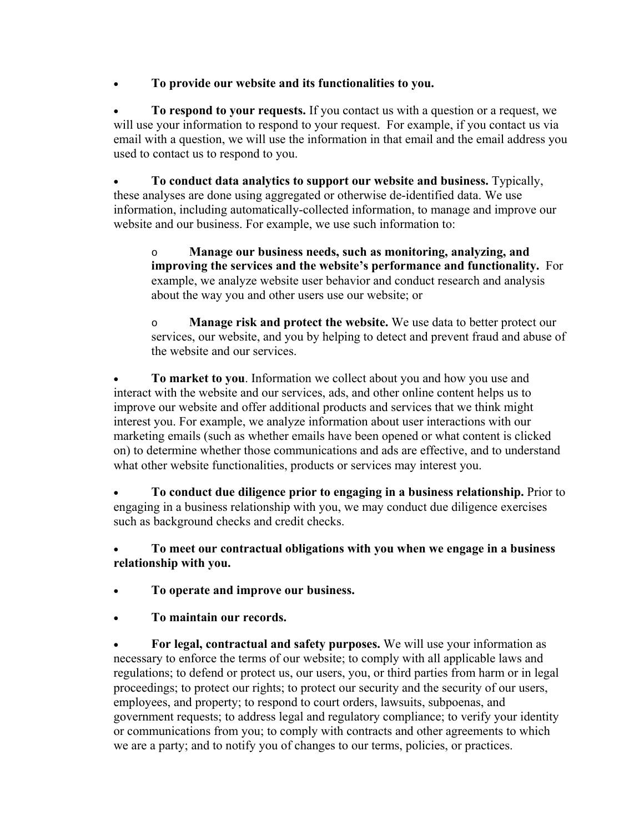**To provide our website and its functionalities to you.**

 **To respond to your requests.** If you contact us with a question or a request, we will use your information to respond to your request. For example, if you contact us via email with a question, we will use the information in that email and the email address you used to contact us to respond to you.

 **To conduct data analytics to support our website and business.** Typically, these analyses are done using aggregated or otherwise de-identified data. We use information, including automatically-collected information, to manage and improve our website and our business. For example, we use such information to:

o **Manage our business needs, such as monitoring, analyzing, and improving the services and the website's performance and functionality.** For example, we analyze website user behavior and conduct research and analysis about the way you and other users use our website; or

o **Manage risk and protect the website.** We use data to better protect our services, our website, and you by helping to detect and prevent fraud and abuse of the website and our services.

 **To market to you**. Information we collect about you and how you use and interact with the website and our services, ads, and other online content helps us to improve our website and offer additional products and services that we think might interest you. For example, we analyze information about user interactions with our marketing emails (such as whether emails have been opened or what content is clicked on) to determine whether those communications and ads are effective, and to understand what other website functionalities, products or services may interest you.

 **To conduct due diligence prior to engaging in a business relationship.** Prior to engaging in a business relationship with you, we may conduct due diligence exercises such as background checks and credit checks.

 **To meet our contractual obligations with you when we engage in a business relationship with you.**

- **To operate and improve our business.**
- **To maintain our records.**

 **For legal, contractual and safety purposes.** We will use your information as necessary to enforce the terms of our website; to comply with all applicable laws and regulations; to defend or protect us, our users, you, or third parties from harm or in legal proceedings; to protect our rights; to protect our security and the security of our users, employees, and property; to respond to court orders, lawsuits, subpoenas, and government requests; to address legal and regulatory compliance; to verify your identity or communications from you; to comply with contracts and other agreements to which we are a party; and to notify you of changes to our terms, policies, or practices.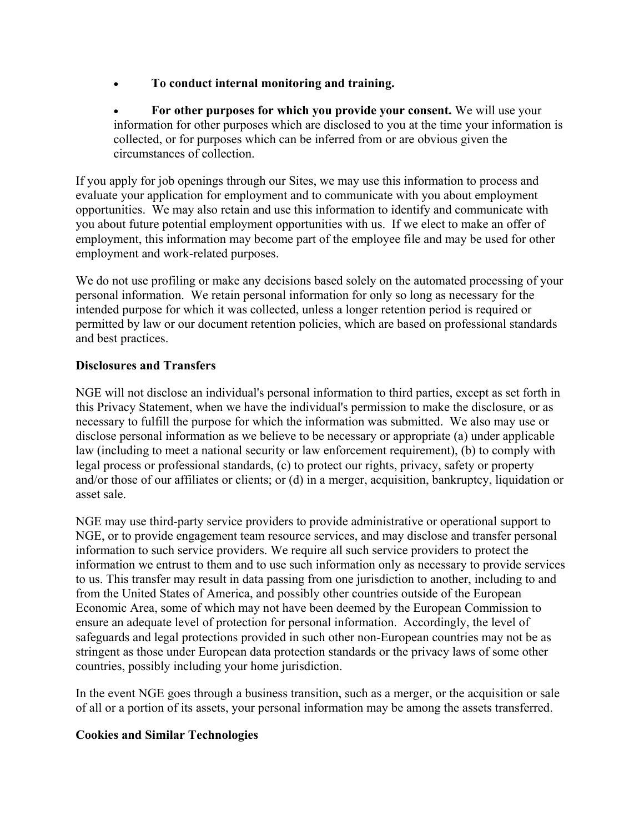- **To conduct internal monitoring and training.**
- **For other purposes for which you provide your consent.** We will use your information for other purposes which are disclosed to you at the time your information is collected, or for purposes which can be inferred from or are obvious given the circumstances of collection.

If you apply for job openings through our Sites, we may use this information to process and evaluate your application for employment and to communicate with you about employment opportunities. We may also retain and use this information to identify and communicate with you about future potential employment opportunities with us. If we elect to make an offer of employment, this information may become part of the employee file and may be used for other employment and work-related purposes.

We do not use profiling or make any decisions based solely on the automated processing of your personal information. We retain personal information for only so long as necessary for the intended purpose for which it was collected, unless a longer retention period is required or permitted by law or our document retention policies, which are based on professional standards and best practices.

# **Disclosures and Transfers**

NGE will not disclose an individual's personal information to third parties, except as set forth in this Privacy Statement, when we have the individual's permission to make the disclosure, or as necessary to fulfill the purpose for which the information was submitted. We also may use or disclose personal information as we believe to be necessary or appropriate (a) under applicable law (including to meet a national security or law enforcement requirement), (b) to comply with legal process or professional standards, (c) to protect our rights, privacy, safety or property and/or those of our affiliates or clients; or (d) in a merger, acquisition, bankruptcy, liquidation or asset sale.

NGE may use third-party service providers to provide administrative or operational support to NGE, or to provide engagement team resource services, and may disclose and transfer personal information to such service providers. We require all such service providers to protect the information we entrust to them and to use such information only as necessary to provide services to us. This transfer may result in data passing from one jurisdiction to another, including to and from the United States of America, and possibly other countries outside of the European Economic Area, some of which may not have been deemed by the European Commission to ensure an adequate level of protection for personal information. Accordingly, the level of safeguards and legal protections provided in such other non-European countries may not be as stringent as those under European data protection standards or the privacy laws of some other countries, possibly including your home jurisdiction.

In the event NGE goes through a business transition, such as a merger, or the acquisition or sale of all or a portion of its assets, your personal information may be among the assets transferred.

# **Cookies and Similar Technologies**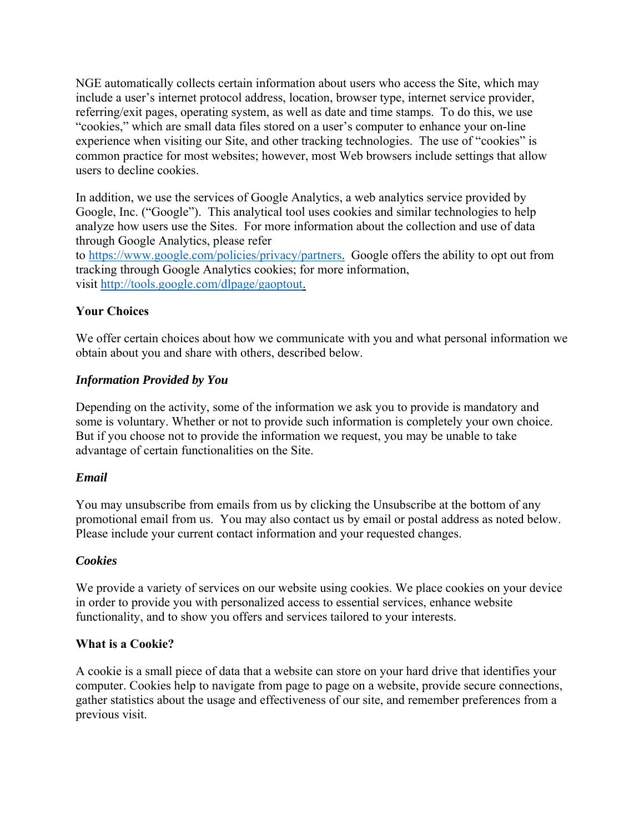NGE automatically collects certain information about users who access the Site, which may include a user's internet protocol address, location, browser type, internet service provider, referring/exit pages, operating system, as well as date and time stamps. To do this, we use "cookies," which are small data files stored on a user's computer to enhance your on-line experience when visiting our Site, and other tracking technologies. The use of "cookies" is common practice for most websites; however, most Web browsers include settings that allow users to decline cookies.

In addition, we use the services of Google Analytics, a web analytics service provided by Google, Inc. ("Google"). This analytical tool uses cookies and similar technologies to help analyze how users use the Sites. For more information about the collection and use of data through Google Analytics, please refer

to https://www.google.com/policies/privacy/partners. Google offers the ability to opt out from tracking through Google Analytics cookies; for more information, visit http://tools.google.com/dlpage/gaoptout.

# **Your Choices**

We offer certain choices about how we communicate with you and what personal information we obtain about you and share with others, described below.

# *Information Provided by You*

Depending on the activity, some of the information we ask you to provide is mandatory and some is voluntary. Whether or not to provide such information is completely your own choice. But if you choose not to provide the information we request, you may be unable to take advantage of certain functionalities on the Site.

# *Email*

You may unsubscribe from emails from us by clicking the Unsubscribe at the bottom of any promotional email from us. You may also contact us by email or postal address as noted below. Please include your current contact information and your requested changes.

# *Cookies*

We provide a variety of services on our website using cookies. We place cookies on your device in order to provide you with personalized access to essential services, enhance website functionality, and to show you offers and services tailored to your interests.

#### **What is a Cookie?**

A cookie is a small piece of data that a website can store on your hard drive that identifies your computer. Cookies help to navigate from page to page on a website, provide secure connections, gather statistics about the usage and effectiveness of our site, and remember preferences from a previous visit.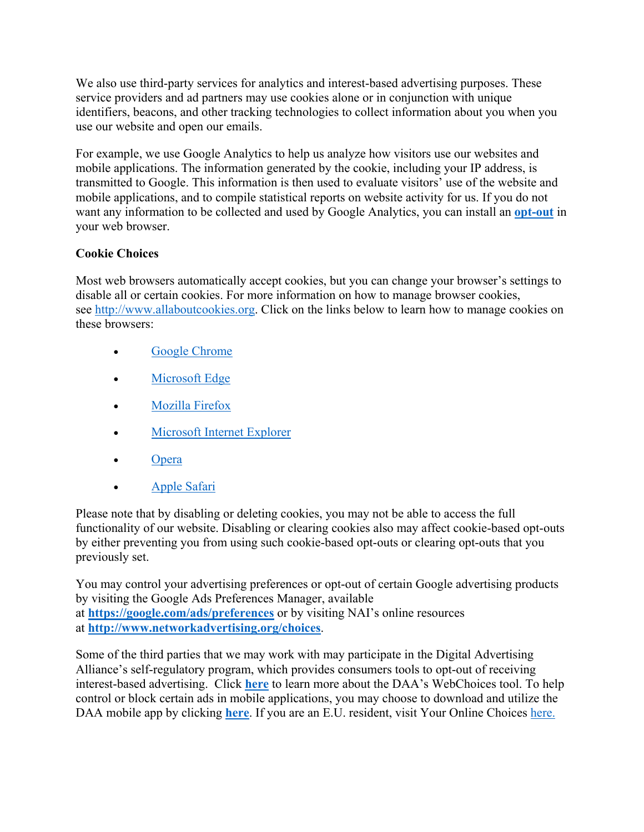We also use third-party services for analytics and interest-based advertising purposes. These service providers and ad partners may use cookies alone or in conjunction with unique identifiers, beacons, and other tracking technologies to collect information about you when you use our website and open our emails.

For example, we use Google Analytics to help us analyze how visitors use our websites and mobile applications. The information generated by the cookie, including your IP address, is transmitted to Google. This information is then used to evaluate visitors' use of the website and mobile applications, and to compile statistical reports on website activity for us. If you do not want any information to be collected and used by Google Analytics, you can install an **[opt-out](https://tools.google.com/dlpage/gaoptout?hl=None)** in your web browser.

# **Cookie Choices**

Most web browsers automatically accept cookies, but you can change your browser's settings to disable all or certain cookies. For more information on how to manage browser cookies, see http://www.allaboutcookies.org. Click on the links below to learn how to manage cookies on these browsers:

- [Google Chrome](https://support.google.com/accounts/answer/61416?co=GENIE.Platform%3DDesktop&hl=en)
- [Microsoft Edge](https://privacy.microsoft.com/en-us/windows-10-microsoft-edge-and-privacy)
- [Mozilla Firefox](https://support.mozilla.org/en-US/kb/enable-and-disable-cookies-website-preferences)
- [Microsoft Internet Explorer](https://support.microsoft.com/en-gb/help/17442/windows-internet-explorer-delete-manage-cookies)
- [Opera](https://www.opera.com/help/tutorials/security/privacy/)
- [Apple Safari](https://support.apple.com/kb/ph21411?locale=en_US)

Please note that by disabling or deleting cookies, you may not be able to access the full functionality of our website. Disabling or clearing cookies also may affect cookie-based opt-outs by either preventing you from using such cookie-based opt-outs or clearing opt-outs that you previously set.

You may control your advertising preferences or opt-out of certain Google advertising products by visiting the Google Ads Preferences Manager, available at **https://google.com/ads/preferences** or by visiting NAI's online resources at **http://www.networkadvertising.org/choices**.

Some of the third parties that we may work with may participate in the Digital Advertising Alliance's self-regulatory program, which provides consumers tools to opt-out of receiving interest-based advertising. Click **[here](http://optout.aboutads.info/)** to learn more about the DAA's WebChoices tool. To help control or block certain ads in mobile applications, you may choose to download and utilize the DAA mobile app by clicking **[here](http://youradchoices.com/appchoices)**. If you are an E.U. resident, visit Your Online Choices [here.](http://www.youronlinechoices.com/uk/your-ad-choices)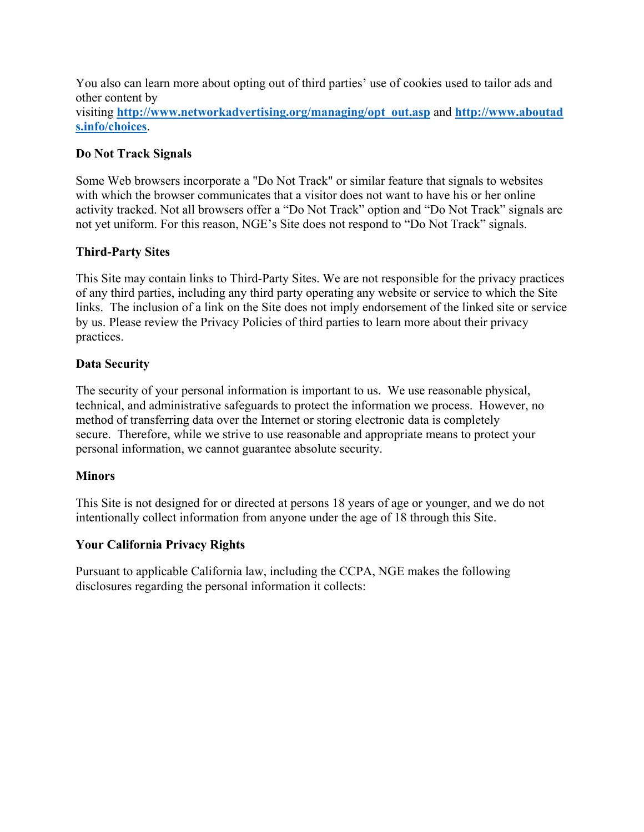You also can learn more about opting out of third parties' use of cookies used to tailor ads and other content by

visiting **http://www.networkadvertising.org/managing/opt\_out.asp** and **http://www.aboutad s.info/choices**.

# **Do Not Track Signals**

Some Web browsers incorporate a "Do Not Track" or similar feature that signals to websites with which the browser communicates that a visitor does not want to have his or her online activity tracked. Not all browsers offer a "Do Not Track" option and "Do Not Track" signals are not yet uniform. For this reason, NGE's Site does not respond to "Do Not Track" signals.

#### **Third-Party Sites**

This Site may contain links to Third-Party Sites. We are not responsible for the privacy practices of any third parties, including any third party operating any website or service to which the Site links. The inclusion of a link on the Site does not imply endorsement of the linked site or service by us. Please review the Privacy Policies of third parties to learn more about their privacy practices.

#### **Data Security**

The security of your personal information is important to us. We use reasonable physical, technical, and administrative safeguards to protect the information we process. However, no method of transferring data over the Internet or storing electronic data is completely secure. Therefore, while we strive to use reasonable and appropriate means to protect your personal information, we cannot guarantee absolute security.

#### **Minors**

This Site is not designed for or directed at persons 18 years of age or younger, and we do not intentionally collect information from anyone under the age of 18 through this Site.

# **Your California Privacy Rights**

Pursuant to applicable California law, including the CCPA, NGE makes the following disclosures regarding the personal information it collects: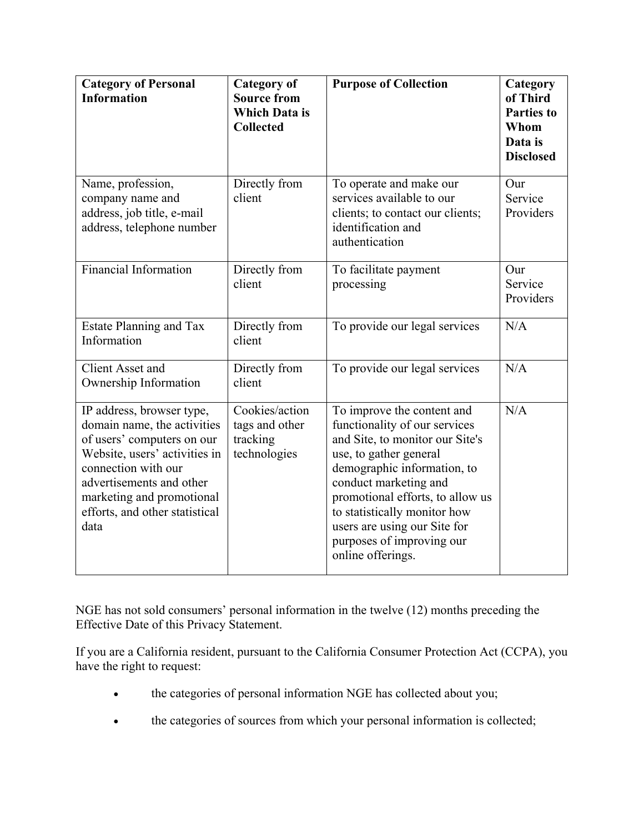| <b>Category of Personal</b><br><b>Information</b>                                                                                                                                                                                                 | <b>Category of</b><br><b>Source from</b><br><b>Which Data is</b><br><b>Collected</b> | <b>Purpose of Collection</b>                                                                                                                                                                                                                                                                                                           | Category<br>of Third<br><b>Parties to</b><br>Whom<br>Data is<br><b>Disclosed</b> |
|---------------------------------------------------------------------------------------------------------------------------------------------------------------------------------------------------------------------------------------------------|--------------------------------------------------------------------------------------|----------------------------------------------------------------------------------------------------------------------------------------------------------------------------------------------------------------------------------------------------------------------------------------------------------------------------------------|----------------------------------------------------------------------------------|
| Name, profession,<br>company name and<br>address, job title, e-mail<br>address, telephone number                                                                                                                                                  | Directly from<br>client                                                              | To operate and make our<br>services available to our<br>clients; to contact our clients;<br>identification and<br>authentication                                                                                                                                                                                                       | Our<br>Service<br>Providers                                                      |
| <b>Financial Information</b>                                                                                                                                                                                                                      | Directly from<br>client                                                              | To facilitate payment<br>processing                                                                                                                                                                                                                                                                                                    | Our<br>Service<br>Providers                                                      |
| Estate Planning and Tax<br>Information                                                                                                                                                                                                            | Directly from<br>client                                                              | To provide our legal services                                                                                                                                                                                                                                                                                                          | N/A                                                                              |
| <b>Client Asset and</b><br>Ownership Information                                                                                                                                                                                                  | Directly from<br>client                                                              | To provide our legal services                                                                                                                                                                                                                                                                                                          | N/A                                                                              |
| IP address, browser type,<br>domain name, the activities<br>of users' computers on our<br>Website, users' activities in<br>connection with our<br>advertisements and other<br>marketing and promotional<br>efforts, and other statistical<br>data | Cookies/action<br>tags and other<br>tracking<br>technologies                         | To improve the content and<br>functionality of our services<br>and Site, to monitor our Site's<br>use, to gather general<br>demographic information, to<br>conduct marketing and<br>promotional efforts, to allow us<br>to statistically monitor how<br>users are using our Site for<br>purposes of improving our<br>online offerings. | N/A                                                                              |

NGE has not sold consumers' personal information in the twelve (12) months preceding the Effective Date of this Privacy Statement.

If you are a California resident, pursuant to the California Consumer Protection Act (CCPA), you have the right to request:

- the categories of personal information NGE has collected about you;
- the categories of sources from which your personal information is collected;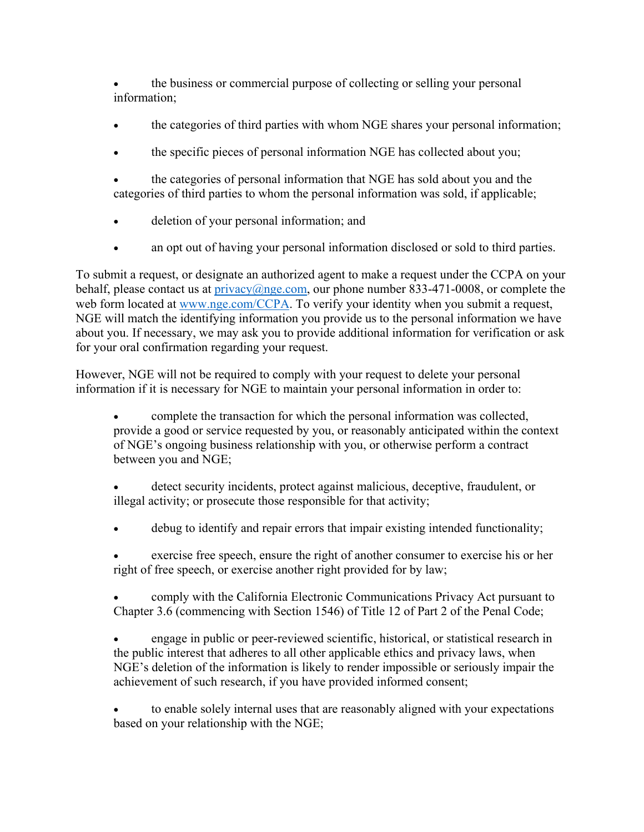the business or commercial purpose of collecting or selling your personal information;

- the categories of third parties with whom NGE shares your personal information;
- the specific pieces of personal information NGE has collected about you;
- the categories of personal information that NGE has sold about you and the categories of third parties to whom the personal information was sold, if applicable;
- deletion of your personal information; and
- an opt out of having your personal information disclosed or sold to third parties.

To submit a request, or designate an authorized agent to make a request under the CCPA on your behalf, please contact us at privacy@nge.com, our phone number 833-471-0008, or complete the web form located at www.nge.com/CCPA. To verify your identity when you submit a request, NGE will match the identifying information you provide us to the personal information we have about you. If necessary, we may ask you to provide additional information for verification or ask for your oral confirmation regarding your request.

However, NGE will not be required to comply with your request to delete your personal information if it is necessary for NGE to maintain your personal information in order to:

 complete the transaction for which the personal information was collected, provide a good or service requested by you, or reasonably anticipated within the context of NGE's ongoing business relationship with you, or otherwise perform a contract between you and NGE;

 detect security incidents, protect against malicious, deceptive, fraudulent, or illegal activity; or prosecute those responsible for that activity;

- debug to identify and repair errors that impair existing intended functionality;
- exercise free speech, ensure the right of another consumer to exercise his or her right of free speech, or exercise another right provided for by law;

 comply with the California Electronic Communications Privacy Act pursuant to Chapter 3.6 (commencing with Section 1546) of Title 12 of Part 2 of the Penal Code;

 engage in public or peer-reviewed scientific, historical, or statistical research in the public interest that adheres to all other applicable ethics and privacy laws, when NGE's deletion of the information is likely to render impossible or seriously impair the achievement of such research, if you have provided informed consent;

 to enable solely internal uses that are reasonably aligned with your expectations based on your relationship with the NGE;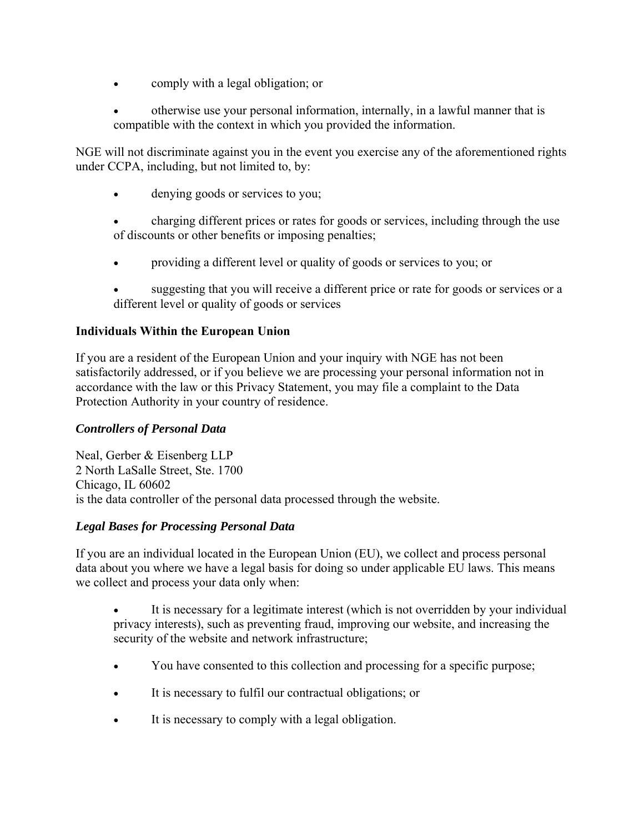- comply with a legal obligation; or
- otherwise use your personal information, internally, in a lawful manner that is compatible with the context in which you provided the information.

NGE will not discriminate against you in the event you exercise any of the aforementioned rights under CCPA, including, but not limited to, by:

- denying goods or services to you;
- charging different prices or rates for goods or services, including through the use of discounts or other benefits or imposing penalties;
- providing a different level or quality of goods or services to you; or
- suggesting that you will receive a different price or rate for goods or services or a different level or quality of goods or services

# **Individuals Within the European Union**

If you are a resident of the European Union and your inquiry with NGE has not been satisfactorily addressed, or if you believe we are processing your personal information not in accordance with the law or this Privacy Statement, you may file a complaint to the Data Protection Authority in your country of residence.

# *Controllers of Personal Data*

Neal, Gerber & Eisenberg LLP 2 North LaSalle Street, Ste. 1700 Chicago, IL 60602 is the data controller of the personal data processed through the website.

# *Legal Bases for Processing Personal Data*

If you are an individual located in the European Union (EU), we collect and process personal data about you where we have a legal basis for doing so under applicable EU laws. This means we collect and process your data only when:

- It is necessary for a legitimate interest (which is not overridden by your individual privacy interests), such as preventing fraud, improving our website, and increasing the security of the website and network infrastructure;
- You have consented to this collection and processing for a specific purpose;
- It is necessary to fulfil our contractual obligations; or
- It is necessary to comply with a legal obligation.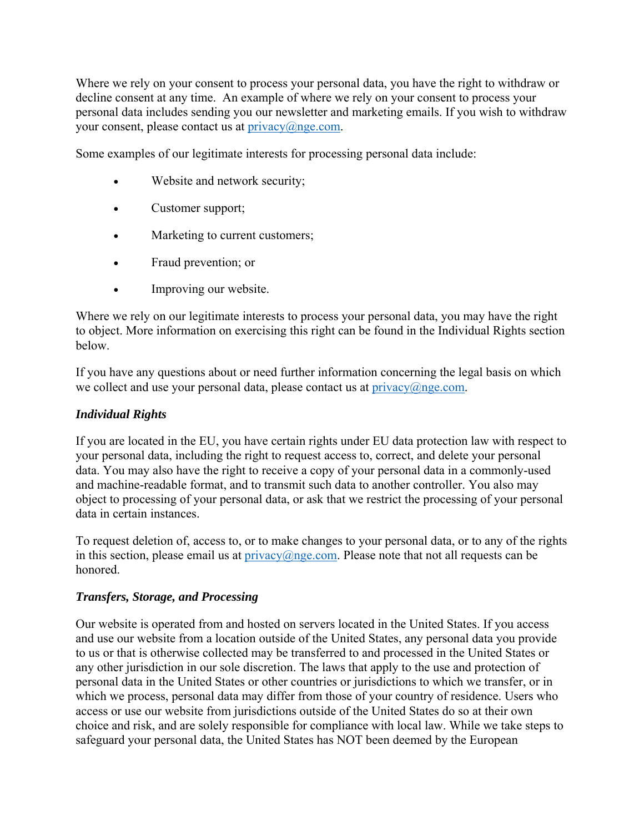Where we rely on your consent to process your personal data, you have the right to withdraw or decline consent at any time. An example of where we rely on your consent to process your personal data includes sending you our newsletter and marketing emails. If you wish to withdraw your consent, please contact us at  $\frac{\text{prior}(a)}{\text{prior}(a)}$ 

Some examples of our legitimate interests for processing personal data include:

- Website and network security;
- Customer support;
- Marketing to current customers;
- Fraud prevention; or
- Improving our website.

Where we rely on our legitimate interests to process your personal data, you may have the right to object. More information on exercising this right can be found in the Individual Rights section below.

If you have any questions about or need further information concerning the legal basis on which we collect and use your personal data, please contact us at  $\text{privacy}(a)$ nge.com.

# *Individual Rights*

If you are located in the EU, you have certain rights under EU data protection law with respect to your personal data, including the right to request access to, correct, and delete your personal data. You may also have the right to receive a copy of your personal data in a commonly-used and machine-readable format, and to transmit such data to another controller. You also may object to processing of your personal data, or ask that we restrict the processing of your personal data in certain instances.

To request deletion of, access to, or to make changes to your personal data, or to any of the rights in this section, please email us at  $\text{privacy}(a)$ nge.com. Please note that not all requests can be honored.

# *Transfers, Storage, and Processing*

Our website is operated from and hosted on servers located in the United States. If you access and use our website from a location outside of the United States, any personal data you provide to us or that is otherwise collected may be transferred to and processed in the United States or any other jurisdiction in our sole discretion. The laws that apply to the use and protection of personal data in the United States or other countries or jurisdictions to which we transfer, or in which we process, personal data may differ from those of your country of residence. Users who access or use our website from jurisdictions outside of the United States do so at their own choice and risk, and are solely responsible for compliance with local law. While we take steps to safeguard your personal data, the United States has NOT been deemed by the European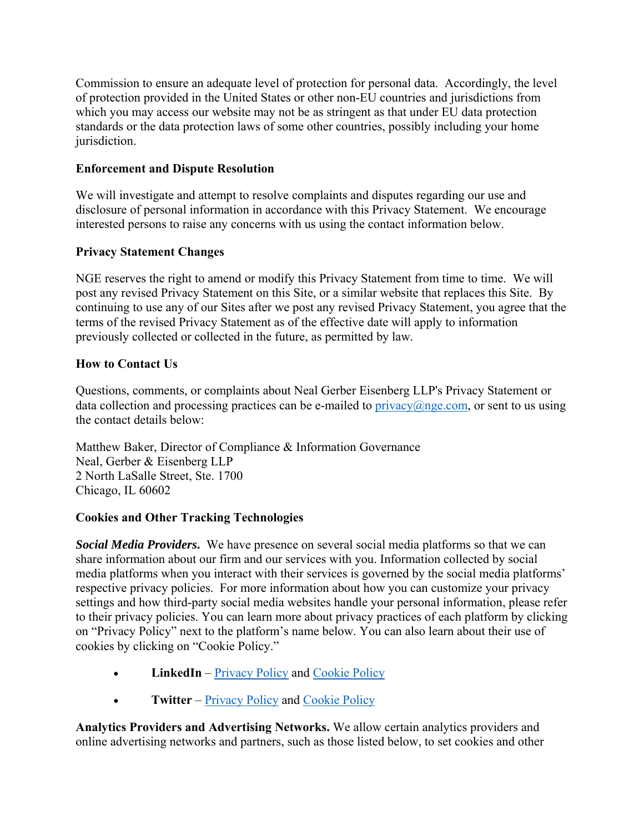Commission to ensure an adequate level of protection for personal data. Accordingly, the level of protection provided in the United States or other non-EU countries and jurisdictions from which you may access our website may not be as stringent as that under EU data protection standards or the data protection laws of some other countries, possibly including your home jurisdiction.

# **Enforcement and Dispute Resolution**

We will investigate and attempt to resolve complaints and disputes regarding our use and disclosure of personal information in accordance with this Privacy Statement. We encourage interested persons to raise any concerns with us using the contact information below.

# **Privacy Statement Changes**

NGE reserves the right to amend or modify this Privacy Statement from time to time. We will post any revised Privacy Statement on this Site, or a similar website that replaces this Site. By continuing to use any of our Sites after we post any revised Privacy Statement, you agree that the terms of the revised Privacy Statement as of the effective date will apply to information previously collected or collected in the future, as permitted by law.

# **How to Contact Us**

Questions, comments, or complaints about Neal Gerber Eisenberg LLP's Privacy Statement or data collection and processing practices can be e-mailed to  $\text{privacy}(a)$  nge.com, or sent to us using the contact details below:

Matthew Baker, Director of Compliance & Information Governance Neal, Gerber & Eisenberg LLP 2 North LaSalle Street, Ste. 1700 Chicago, IL 60602

# **Cookies and Other Tracking Technologies**

*Social Media Providers***.** We have presence on several social media platforms so that we can share information about our firm and our services with you. Information collected by social media platforms when you interact with their services is governed by the social media platforms' respective privacy policies. For more information about how you can customize your privacy settings and how third-party social media websites handle your personal information, please refer to their privacy policies. You can learn more about privacy practices of each platform by clicking on "Privacy Policy" next to the platform's name below. You can also learn about their use of cookies by clicking on "Cookie Policy."

- **LinkedIn** <u>Privacy Policy</u> and [Cookie Policy](https://www.linkedin.com/legal/cookie-policy)
- **•** Twitter <u>Privacy Policy</u> and [Cookie Policy](https://help.twitter.com/en/rules-and-policies/twitter-cookies)

**Analytics Providers and Advertising Networks.** We allow certain analytics providers and online advertising networks and partners, such as those listed below, to set cookies and other